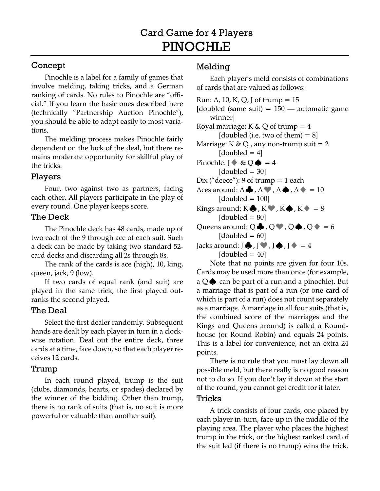# Concept

Pinochle is a label for a family of games that involve melding, taking tricks, and a German ranking of cards. No rules to Pinochle are "official." If you learn the basic ones described here (technically "Partnership Auction Pinochle"), you should be able to adapt easily to most variations.

The melding process makes Pinochle fairly dependent on the luck of the deal, but there remains moderate opportunity for skillful play of the tricks.

## Players

Four, two against two as partners, facing each other. All players participate in the play of every round. One player keeps score.

### The Deck

The Pinochle deck has 48 cards, made up of two each of the 9 through ace of each suit. Such a deck can be made by taking two standard 52 card decks and discarding all 2s through 8s.

The rank of the cards is ace (high), 10, king, queen, jack, 9 (low).

If two cards of equal rank (and suit) are played in the same trick, the first played outranks the second played.

# The Deal

Select the first dealer randomly. Subsequent hands are dealt by each player in turn in a clockwise rotation. Deal out the entire deck, three cards at a time, face down, so that each player receives 12 cards.

### Trump

In each round played, trump is the suit (clubs, diamonds, hearts, or spades) declared by the winner of the bidding. Other than trump, there is no rank of suits (that is, no suit is more powerful or valuable than another suit).

# Melding

Each player's meld consists of combinations of cards that are valued as follows:

Run: A, 10, K, Q, J of trump  $= 15$ [doubled (same suit)  $= 150$  — automatic game winner] Royal marriage: K & Q of trump =  $4$ [doubled (i.e. two of them)  $= 8$ ] Marriage: K & Q, any non-trump suit =  $2$  $[doubled = 4]$ Pinochle: J  $\& Q \spadesuit = 4$  $\text{[doubled} = 30]$ Dix ("deece"): 9 of trump  $= 1$  each Aces around:  $A \clubsuit$ ,  $A \spadesuit$ ,  $A \spadesuit$ ,  $A \spadesuit = 10$  $\text{[doubled} = 100]$ Kings around:  $K\clubsuit$ ,  $K\clubsuit$ ,  $K\spadesuit$ ,  $K\spadesuit = 8$  $\text{[doubled} = 80]$ Queens around:  $Q \clubsuit$ ,  $Q \spadesuit$ ,  $Q \spadesuit$ ,  $Q \spadesuit$  = 6  $[doubled = 60]$ Jacks around:  $\overline{J}$ ,  $\overline{J}$ ,  $\overline{J}$ ,  $\overline{J}$ ,  $\overline{J}$  = 4  $\text{[doubled = } 40\text{]}$ 

Note that no points are given for four 10s. Cards may be used more than once (for example, a  $Q$   $\spadesuit$  can be part of a run and a pinochle). But a marriage that is part of a run (or one card of which is part of a run) does not count separately as a marriage. A marriage in all four suits (that is, the combined score of the marriages and the Kings and Queens around) is called a Roundhouse (or Round Robin) and equals 24 points. This is a label for convenience, not an extra 24 points.

There is no rule that you must lay down all possible meld, but there really is no good reason not to do so. If you don't lay it down at the start of the round, you cannot get credit for it later.

### Tricks

A trick consists of four cards, one placed by each player in-turn, face-up in the middle of the playing area. The player who places the highest trump in the trick, or the highest ranked card of the suit led (if there is no trump) wins the trick.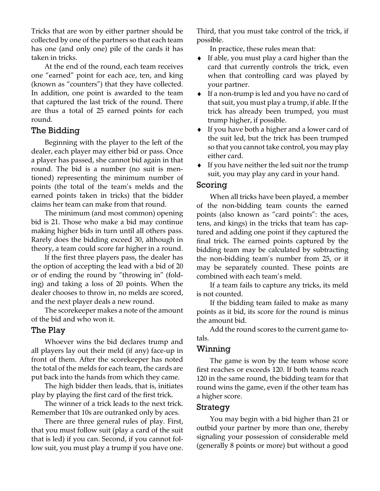Tricks that are won by either partner should be collected by one of the partners so that each team has one (and only one) pile of the cards it has taken in tricks.

At the end of the round, each team receives one "earned" point for each ace, ten, and king (known as "counters") that they have collected. In addition, one point is awarded to the team that captured the last trick of the round. There are thus a total of 25 earned points for each round.

### The Bidding

Beginning with the player to the left of the dealer, each player may either bid or pass. Once a player has passed, she cannot bid again in that round. The bid is a number (no suit is mentioned) representing the minimum number of points (the total of the team's melds and the earned points taken in tricks) that the bidder claims her team can make from that round.

The minimum (and most common) opening bid is 21. Those who make a bid may continue making higher bids in turn until all others pass. Rarely does the bidding exceed 30, although in theory, a team could score far higher in a round.

If the first three players pass, the dealer has the option of accepting the lead with a bid of 20 or of ending the round by "throwing in" (folding) and taking a loss of 20 points. When the dealer chooses to throw in, no melds are scored, and the next player deals a new round.

The scorekeeper makes a note of the amount of the bid and who won it.

### The Play

Whoever wins the bid declares trump and all players lay out their meld (if any) face-up in front of them. After the scorekeeper has noted the total of the melds for each team, the cards are put back into the hands from which they came.

The high bidder then leads, that is, initiates play by playing the first card of the first trick.

The winner of a trick leads to the next trick. Remember that 10s are outranked only by aces.

There are three general rules of play. First, that you must follow suit (play a card of the suit that is led) if you can. Second, if you cannot follow suit, you must play a trump if you have one.

Third, that you must take control of the trick, if possible.

In practice, these rules mean that:

- ♦ If able, you must play a card higher than the card that currently controls the trick, even when that controlling card was played by your partner.
- ♦ If a non-trump is led and you have no card of that suit, you must play a trump, if able. If the trick has already been trumped, you must trump higher, if possible.
- ♦ If you have both a higher and a lower card of the suit led, but the trick has been trumped so that you cannot take control, you may play either card.
- ♦ If you have neither the led suit nor the trump suit, you may play any card in your hand.

#### Scoring

When all tricks have been played, a member of the non-bidding team counts the earned points (also known as "card points": the aces, tens, and kings) in the tricks that team has captured and adding one point if they captured the final trick. The earned points captured by the bidding team may be calculated by subtracting the non-bidding team's number from 25, or it may be separately counted. These points are combined with each team's meld.

If a team fails to capture any tricks, its meld is not counted.

If the bidding team failed to make as many points as it bid, its score for the round is minus the amount bid.

Add the round scores to the current game totals.

#### Winning

The game is won by the team whose score first reaches or exceeds 120. If both teams reach 120 in the same round, the bidding team for that round wins the game, even if the other team has a higher score.

#### Strategy

You may begin with a bid higher than 21 or outbid your partner by more than one, thereby signaling your possession of considerable meld (generally 8 points or more) but without a good